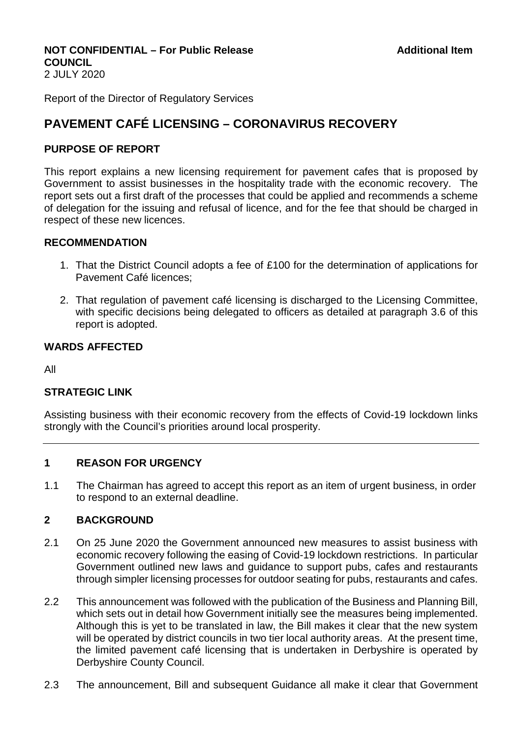# **NOT CONFIDENTIAL – For Public Release Additional Item Additional Item COUNCIL**

2 JULY 2020

Report of the Director of Regulatory Services

# **PAVEMENT CAFÉ LICENSING – CORONAVIRUS RECOVERY**

## **PURPOSE OF REPORT**

This report explains a new licensing requirement for pavement cafes that is proposed by Government to assist businesses in the hospitality trade with the economic recovery. The report sets out a first draft of the processes that could be applied and recommends a scheme of delegation for the issuing and refusal of licence, and for the fee that should be charged in respect of these new licences.

### **RECOMMENDATION**

- 1. That the District Council adopts a fee of £100 for the determination of applications for Pavement Café licences;
- 2. That regulation of pavement café licensing is discharged to the Licensing Committee, with specific decisions being delegated to officers as detailed at paragraph 3.6 of this report is adopted.

### **WARDS AFFECTED**

All

### **STRATEGIC LINK**

Assisting business with their economic recovery from the effects of Covid-19 lockdown links strongly with the Council's priorities around local prosperity.

### **1 REASON FOR URGENCY**

1.1 The Chairman has agreed to accept this report as an item of urgent business, in order to respond to an external deadline.

### **2 BACKGROUND**

- 2.1 On 25 June 2020 the Government announced new measures to assist business with economic recovery following the easing of Covid-19 lockdown restrictions. In particular Government outlined new laws and guidance to support pubs, cafes and restaurants through simpler licensing processes for outdoor seating for pubs, restaurants and cafes.
- 2.2 This announcement was followed with the publication of the Business and Planning Bill, which sets out in detail how Government initially see the measures being implemented. Although this is yet to be translated in law, the Bill makes it clear that the new system will be operated by district councils in two tier local authority areas. At the present time, the limited pavement café licensing that is undertaken in Derbyshire is operated by Derbyshire County Council.
- 2.3 The announcement, Bill and subsequent Guidance all make it clear that Government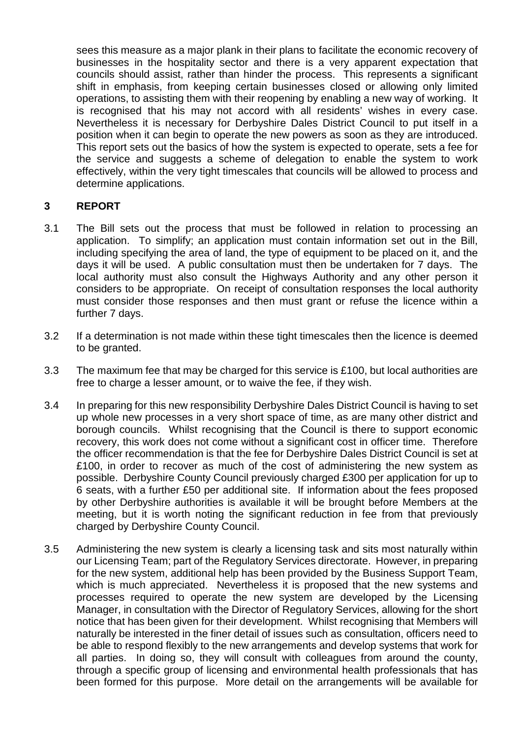sees this measure as a major plank in their plans to facilitate the economic recovery of businesses in the hospitality sector and there is a very apparent expectation that councils should assist, rather than hinder the process. This represents a significant shift in emphasis, from keeping certain businesses closed or allowing only limited operations, to assisting them with their reopening by enabling a new way of working. It is recognised that his may not accord with all residents' wishes in every case. Nevertheless it is necessary for Derbyshire Dales District Council to put itself in a position when it can begin to operate the new powers as soon as they are introduced. This report sets out the basics of how the system is expected to operate, sets a fee for the service and suggests a scheme of delegation to enable the system to work effectively, within the very tight timescales that councils will be allowed to process and determine applications.

## **3 REPORT**

- 3.1 The Bill sets out the process that must be followed in relation to processing an application. To simplify; an application must contain information set out in the Bill, including specifying the area of land, the type of equipment to be placed on it, and the days it will be used. A public consultation must then be undertaken for 7 days. The local authority must also consult the Highways Authority and any other person it considers to be appropriate. On receipt of consultation responses the local authority must consider those responses and then must grant or refuse the licence within a further 7 days.
- 3.2 If a determination is not made within these tight timescales then the licence is deemed to be granted.
- 3.3 The maximum fee that may be charged for this service is £100, but local authorities are free to charge a lesser amount, or to waive the fee, if they wish.
- 3.4 In preparing for this new responsibility Derbyshire Dales District Council is having to set up whole new processes in a very short space of time, as are many other district and borough councils. Whilst recognising that the Council is there to support economic recovery, this work does not come without a significant cost in officer time. Therefore the officer recommendation is that the fee for Derbyshire Dales District Council is set at £100, in order to recover as much of the cost of administering the new system as possible. Derbyshire County Council previously charged £300 per application for up to 6 seats, with a further £50 per additional site. If information about the fees proposed by other Derbyshire authorities is available it will be brought before Members at the meeting, but it is worth noting the significant reduction in fee from that previously charged by Derbyshire County Council.
- 3.5 Administering the new system is clearly a licensing task and sits most naturally within our Licensing Team; part of the Regulatory Services directorate. However, in preparing for the new system, additional help has been provided by the Business Support Team, which is much appreciated. Nevertheless it is proposed that the new systems and processes required to operate the new system are developed by the Licensing Manager, in consultation with the Director of Regulatory Services, allowing for the short notice that has been given for their development. Whilst recognising that Members will naturally be interested in the finer detail of issues such as consultation, officers need to be able to respond flexibly to the new arrangements and develop systems that work for all parties. In doing so, they will consult with colleagues from around the county, through a specific group of licensing and environmental health professionals that has been formed for this purpose. More detail on the arrangements will be available for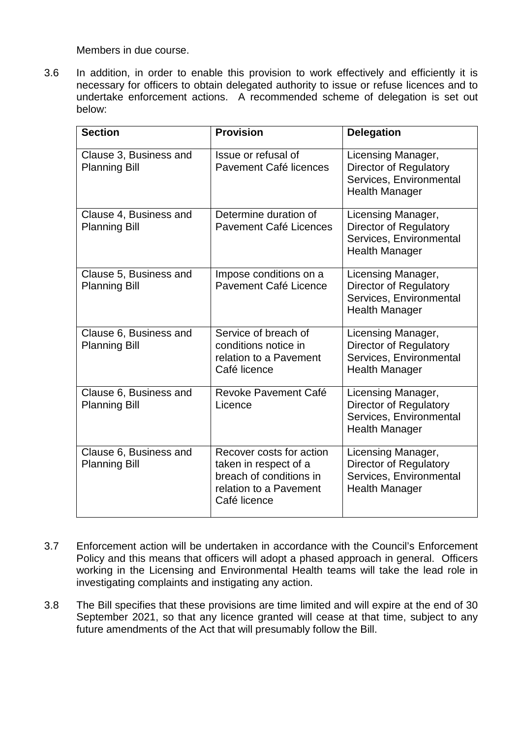Members in due course.

3.6 In addition, in order to enable this provision to work effectively and efficiently it is necessary for officers to obtain delegated authority to issue or refuse licences and to undertake enforcement actions. A recommended scheme of delegation is set out below:

| <b>Section</b>                                 | <b>Provision</b>                                                                                                       | <b>Delegation</b>                                                                                       |
|------------------------------------------------|------------------------------------------------------------------------------------------------------------------------|---------------------------------------------------------------------------------------------------------|
| Clause 3, Business and<br><b>Planning Bill</b> | Issue or refusal of<br>Pavement Café licences                                                                          | Licensing Manager,<br>Director of Regulatory<br>Services, Environmental<br><b>Health Manager</b>        |
| Clause 4, Business and<br><b>Planning Bill</b> | Determine duration of<br>Pavement Café Licences                                                                        | Licensing Manager,<br>Director of Regulatory<br>Services, Environmental<br><b>Health Manager</b>        |
| Clause 5, Business and<br><b>Planning Bill</b> | Impose conditions on a<br>Pavement Café Licence                                                                        | Licensing Manager,<br><b>Director of Regulatory</b><br>Services, Environmental<br><b>Health Manager</b> |
| Clause 6, Business and<br><b>Planning Bill</b> | Service of breach of<br>conditions notice in<br>relation to a Pavement<br>Café licence                                 | Licensing Manager,<br><b>Director of Regulatory</b><br>Services, Environmental<br><b>Health Manager</b> |
| Clause 6, Business and<br><b>Planning Bill</b> | Revoke Pavement Café<br>Licence                                                                                        | Licensing Manager,<br>Director of Regulatory<br>Services, Environmental<br><b>Health Manager</b>        |
| Clause 6, Business and<br><b>Planning Bill</b> | Recover costs for action<br>taken in respect of a<br>breach of conditions in<br>relation to a Pavement<br>Café licence | Licensing Manager,<br>Director of Regulatory<br>Services, Environmental<br><b>Health Manager</b>        |

- 3.7 Enforcement action will be undertaken in accordance with the Council's Enforcement Policy and this means that officers will adopt a phased approach in general. Officers working in the Licensing and Environmental Health teams will take the lead role in investigating complaints and instigating any action.
- 3.8 The Bill specifies that these provisions are time limited and will expire at the end of 30 September 2021, so that any licence granted will cease at that time, subject to any future amendments of the Act that will presumably follow the Bill.